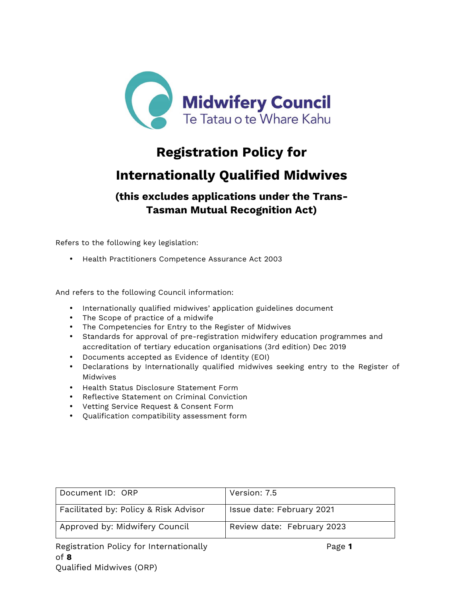

# **Registration Policy for**

# **Internationally Qualified Midwives**

## **(this excludes applications under the Trans-Tasman Mutual Recognition Act)**

Refers to the following key legislation:

• Health Practitioners Competence Assurance Act 2003

And refers to the following Council information:

- Internationally qualified midwives' application guidelines document
- The Scope of practice of a midwife
- The Competencies for Entry to the Register of Midwives
- Standards for approval of pre-registration midwifery education programmes and accreditation of tertiary education organisations (3rd edition) Dec 2019
- Documents accepted as Evidence of Identity (EOI)
- Declarations by Internationally qualified midwives seeking entry to the Register of Midwives
- Health Status Disclosure Statement Form
- Reflective Statement on Criminal Conviction
- Vetting Service Request & Consent Form
- Qualification compatibility assessment form

| Document ID: ORP                      | Version: 7.5               |
|---------------------------------------|----------------------------|
| Facilitated by: Policy & Risk Advisor | Issue date: February 2021  |
| Approved by: Midwifery Council        | Review date: February 2023 |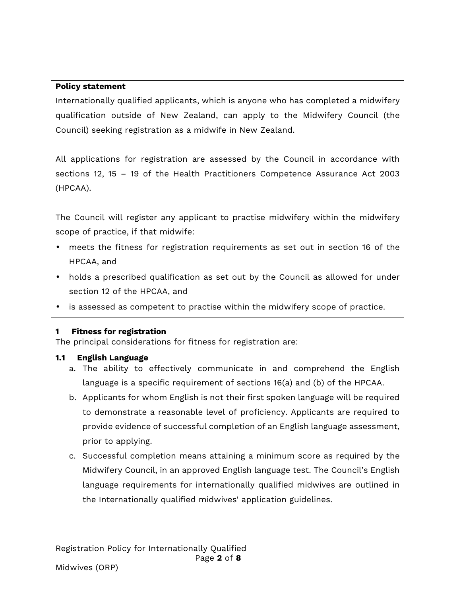#### **Policy statement**

Internationally qualified applicants, which is anyone who has completed a midwifery qualification outside of New Zealand, can apply to the Midwifery Council (the Council) seeking registration as a midwife in New Zealand.

All applications for registration are assessed by the Council in accordance with sections 12, 15 – 19 of the Health Practitioners Competence Assurance Act 2003 (HPCAA).

The Council will register any applicant to practise midwifery within the midwifery scope of practice, if that midwife:

- meets the fitness for registration requirements as set out in section 16 of the HPCAA, and
- holds a prescribed qualification as set out by the Council as allowed for under section 12 of the HPCAA, and
- is assessed as competent to practise within the midwifery scope of practice.

#### **1 Fitness for registration**

The principal considerations for fitness for registration are:

#### **1.1 English Language**

- a. The ability to effectively communicate in and comprehend the English language is a specific requirement of sections 16(a) and (b) of the HPCAA.
- b. Applicants for whom English is not their first spoken language will be required to demonstrate a reasonable level of proficiency. Applicants are required to provide evidence of successful completion of an English language assessment, prior to applying.
- c. Successful completion means attaining a minimum score as required by the Midwifery Council, in an approved English language test. The Council's English language requirements for internationally qualified midwives are outlined in the Internationally qualified midwives' application guidelines.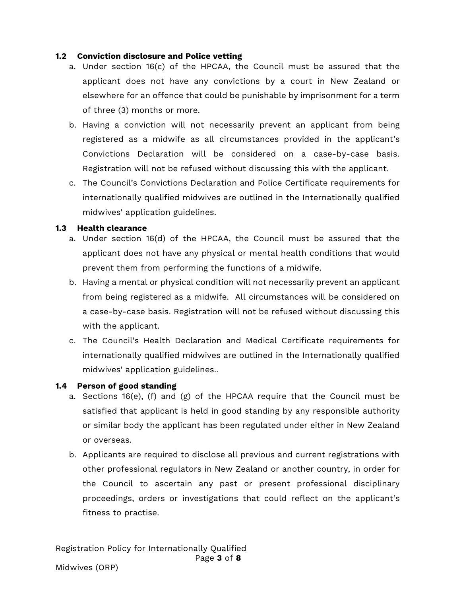#### **1.2 Conviction disclosure and Police vetting**

- a. Under section 16(c) of the HPCAA, the Council must be assured that the applicant does not have any convictions by a court in New Zealand or elsewhere for an offence that could be punishable by imprisonment for a term of three (3) months or more.
- b. Having a conviction will not necessarily prevent an applicant from being registered as a midwife as all circumstances provided in the applicant's Convictions Declaration will be considered on a case-by-case basis. Registration will not be refused without discussing this with the applicant.
- c. The Council's Convictions Declaration and Police Certificate requirements for internationally qualified midwives are outlined in the Internationally qualified midwives' application guidelines.

#### **1.3 Health clearance**

- a. Under section 16(d) of the HPCAA, the Council must be assured that the applicant does not have any physical or mental health conditions that would prevent them from performing the functions of a midwife.
- b. Having a mental or physical condition will not necessarily prevent an applicant from being registered as a midwife. All circumstances will be considered on a case-by-case basis. Registration will not be refused without discussing this with the applicant.
- c. The Council's Health Declaration and Medical Certificate requirements for internationally qualified midwives are outlined in the Internationally qualified midwives' application guidelines..

#### **1.4 Person of good standing**

- a. Sections 16(e), (f) and (g) of the HPCAA require that the Council must be satisfied that applicant is held in good standing by any responsible authority or similar body the applicant has been regulated under either in New Zealand or overseas.
- b. Applicants are required to disclose all previous and current registrations with other professional regulators in New Zealand or another country, in order for the Council to ascertain any past or present professional disciplinary proceedings, orders or investigations that could reflect on the applicant's fitness to practise.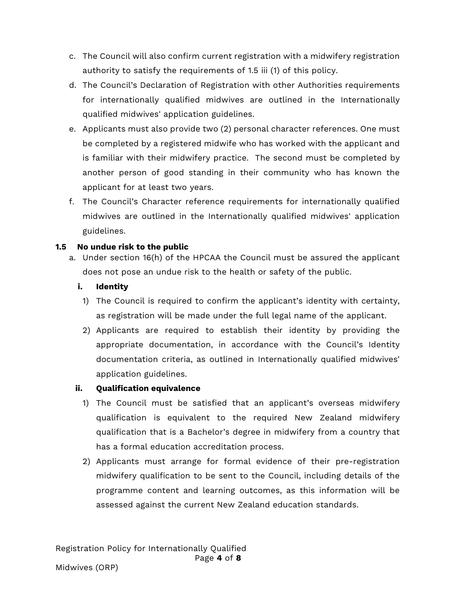- c. The Council will also confirm current registration with a midwifery registration authority to satisfy the requirements of 1.5 iii (1) of this policy.
- d. The Council's Declaration of Registration with other Authorities requirements for internationally qualified midwives are outlined in the Internationally qualified midwives' application guidelines.
- e. Applicants must also provide two (2) personal character references. One must be completed by a registered midwife who has worked with the applicant and is familiar with their midwifery practice. The second must be completed by another person of good standing in their community who has known the applicant for at least two years.
- f. The Council's Character reference requirements for internationally qualified midwives are outlined in the Internationally qualified midwives' application guidelines.

#### **1.5 No undue risk to the public**

a. Under section 16(h) of the HPCAA the Council must be assured the applicant does not pose an undue risk to the health or safety of the public.

#### **i. Identity**

- 1) The Council is required to confirm the applicant's identity with certainty, as registration will be made under the full legal name of the applicant.
- 2) Applicants are required to establish their identity by providing the appropriate documentation, in accordance with the Council's Identity documentation criteria, as outlined in Internationally qualified midwives' application guidelines.

#### **ii. Qualification equivalence**

- 1) The Council must be satisfied that an applicant's overseas midwifery qualification is equivalent to the required New Zealand midwifery qualification that is a Bachelor's degree in midwifery from a country that has a formal education accreditation process.
- 2) Applicants must arrange for formal evidence of their pre-registration midwifery qualification to be sent to the Council, including details of the programme content and learning outcomes, as this information will be assessed against the current New Zealand education standards.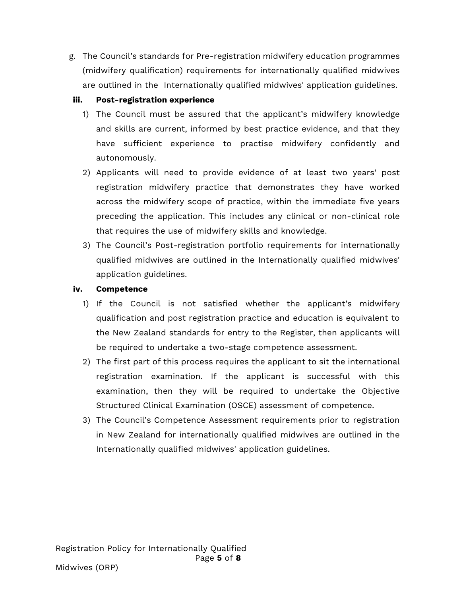g. The Council's standards for Pre-registration midwifery education programmes (midwifery qualification) requirements for internationally qualified midwives are outlined in the Internationally qualified midwives' application guidelines.

#### **iii. Post-registration experience**

- 1) The Council must be assured that the applicant's midwifery knowledge and skills are current, informed by best practice evidence, and that they have sufficient experience to practise midwifery confidently and autonomously.
- 2) Applicants will need to provide evidence of at least two years' post registration midwifery practice that demonstrates they have worked across the midwifery scope of practice, within the immediate five years preceding the application. This includes any clinical or non-clinical role that requires the use of midwifery skills and knowledge.
- 3) The Council's Post-registration portfolio requirements for internationally qualified midwives are outlined in the Internationally qualified midwives' application guidelines.

#### **iv. Competence**

- 1) If the Council is not satisfied whether the applicant's midwifery qualification and post registration practice and education is equivalent to the New Zealand standards for entry to the Register, then applicants will be required to undertake a two-stage competence assessment.
- 2) The first part of this process requires the applicant to sit the international registration examination. If the applicant is successful with this examination, then they will be required to undertake the Objective Structured Clinical Examination (OSCE) assessment of competence.
- 3) The Council's Competence Assessment requirements prior to registration in New Zealand for internationally qualified midwives are outlined in the Internationally qualified midwives' application guidelines.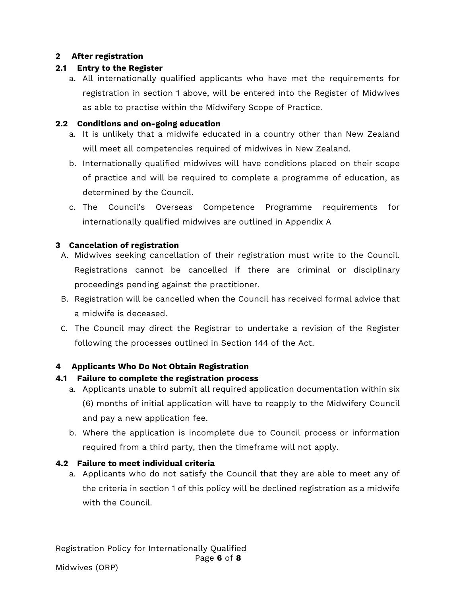#### **2 After registration**

## **2.1 Entry to the Register**

a. All internationally qualified applicants who have met the requirements for registration in section 1 above, will be entered into the Register of Midwives as able to practise within the Midwifery Scope of Practice.

## **2.2 Conditions and on-going education**

- a. It is unlikely that a midwife educated in a country other than New Zealand will meet all competencies required of midwives in New Zealand.
- b. Internationally qualified midwives will have conditions placed on their scope of practice and will be required to complete a programme of education, as determined by the Council.
- c. The Council's Overseas Competence Programme requirements for internationally qualified midwives are outlined in Appendix A

## **3 Cancelation of registration**

- A. Midwives seeking cancellation of their registration must write to the Council. Registrations cannot be cancelled if there are criminal or disciplinary proceedings pending against the practitioner.
- B. Registration will be cancelled when the Council has received formal advice that a midwife is deceased.
- C. The Council may direct the Registrar to undertake a revision of the Register following the processes outlined in Section 144 of the Act.

## **4 Applicants Who Do Not Obtain Registration**

## **4.1 Failure to complete the registration process**

- a. Applicants unable to submit all required application documentation within six (6) months of initial application will have to reapply to the Midwifery Council and pay a new application fee.
- b. Where the application is incomplete due to Council process or information required from a third party, then the timeframe will not apply.

## **4.2 Failure to meet individual criteria**

a. Applicants who do not satisfy the Council that they are able to meet any of the criteria in section 1 of this policy will be declined registration as a midwife with the Council.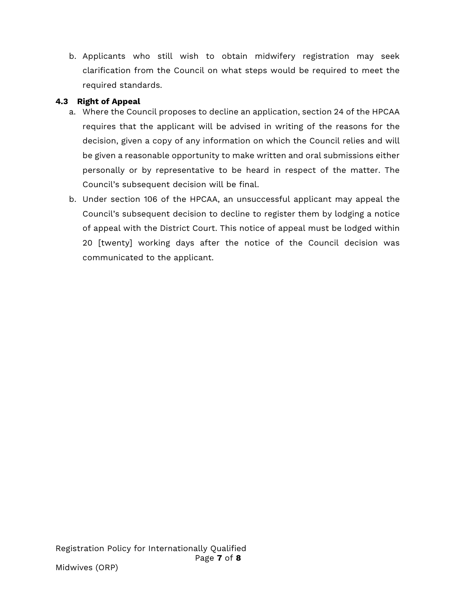b. Applicants who still wish to obtain midwifery registration may seek clarification from the Council on what steps would be required to meet the required standards.

### **4.3 Right of Appeal**

- a. Where the Council proposes to decline an application, section 24 of the HPCAA requires that the applicant will be advised in writing of the reasons for the decision, given a copy of any information on which the Council relies and will be given a reasonable opportunity to make written and oral submissions either personally or by representative to be heard in respect of the matter. The Council's subsequent decision will be final.
- b. Under section 106 of the HPCAA, an unsuccessful applicant may appeal the Council's subsequent decision to decline to register them by lodging a notice of appeal with the District Court. This notice of appeal must be lodged within 20 [twenty] working days after the notice of the Council decision was communicated to the applicant.